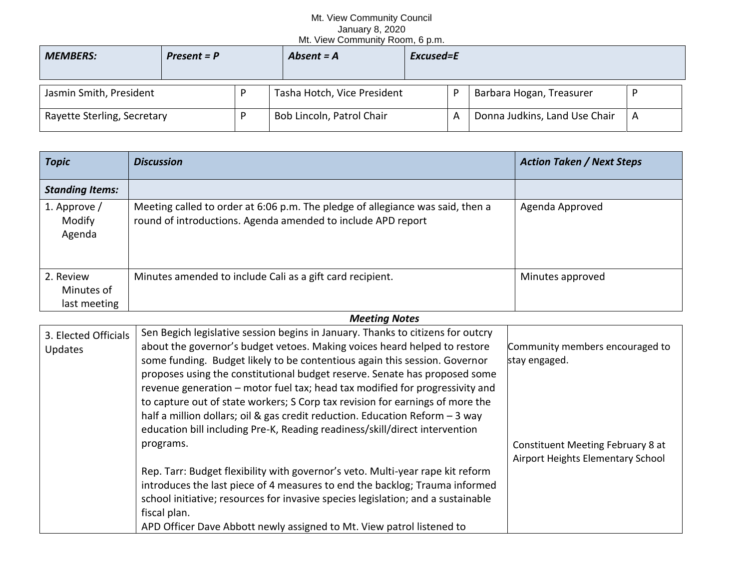## Mt. View Community Council January 8, 2020 Mt. View Community Room, 6 p.m.

| <b>MEMBERS:</b>             | $Present = P$ | Absent $= A$                | Excused=E |   |                               |   |
|-----------------------------|---------------|-----------------------------|-----------|---|-------------------------------|---|
| Jasmin Smith, President     |               | Tasha Hotch, Vice President |           |   | Barbara Hogan, Treasurer      |   |
| Rayette Sterling, Secretary |               | Bob Lincoln, Patrol Chair   |           | А | Donna Judkins, Land Use Chair | A |

| <b>Topic</b>                            | <b>Discussion</b>                                                                                                                              | <b>Action Taken / Next Steps</b> |
|-----------------------------------------|------------------------------------------------------------------------------------------------------------------------------------------------|----------------------------------|
| <b>Standing Items:</b>                  |                                                                                                                                                |                                  |
| 1. Approve /<br>Modify<br>Agenda        | Meeting called to order at 6:06 p.m. The pledge of allegiance was said, then a<br>round of introductions. Agenda amended to include APD report | Agenda Approved                  |
| 2. Review<br>Minutes of<br>last meeting | Minutes amended to include Cali as a gift card recipient.                                                                                      | Minutes approved                 |

## *Meeting Notes*

| 3. Elected Officials | Sen Begich legislative session begins in January. Thanks to citizens for outcry  |                                   |
|----------------------|----------------------------------------------------------------------------------|-----------------------------------|
| <b>Updates</b>       | about the governor's budget vetoes. Making voices heard helped to restore        | Community members encouraged to   |
|                      | some funding. Budget likely to be contentious again this session. Governor       | stay engaged.                     |
|                      | proposes using the constitutional budget reserve. Senate has proposed some       |                                   |
|                      | revenue generation - motor fuel tax; head tax modified for progressivity and     |                                   |
|                      | to capture out of state workers; S Corp tax revision for earnings of more the    |                                   |
|                      | half a million dollars; oil & gas credit reduction. Education Reform $-3$ way    |                                   |
|                      | education bill including Pre-K, Reading readiness/skill/direct intervention      |                                   |
|                      | programs.                                                                        | Constituent Meeting February 8 at |
|                      |                                                                                  | Airport Heights Elementary School |
|                      | Rep. Tarr: Budget flexibility with governor's veto. Multi-year rape kit reform   |                                   |
|                      | introduces the last piece of 4 measures to end the backlog; Trauma informed      |                                   |
|                      | school initiative; resources for invasive species legislation; and a sustainable |                                   |
|                      | fiscal plan.                                                                     |                                   |
|                      | APD Officer Dave Abbott newly assigned to Mt. View patrol listened to            |                                   |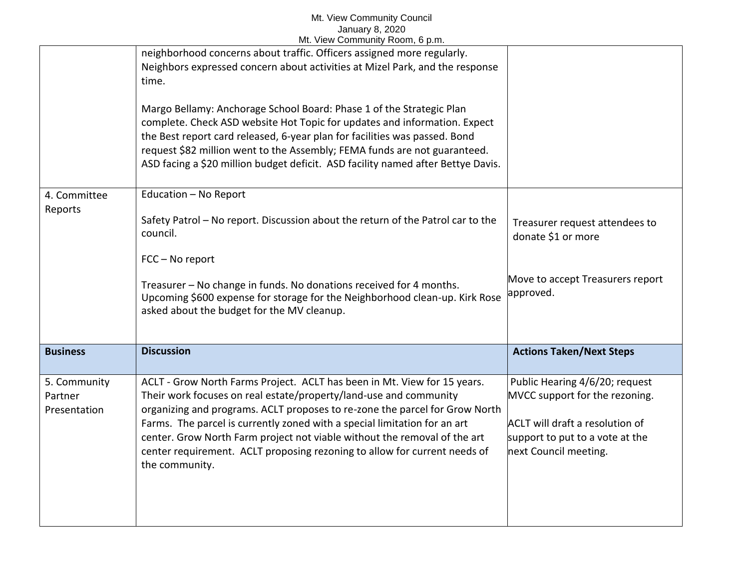## Mt. View Community Council January 8, 2020 Mt. View Community Room, 6 p.m.

|                                         | IVIt. View Community Room, 6 p.m.                                                                                                                                                                                                                                                                                                                                                                                                                                                     |                                                                                                                                                                        |
|-----------------------------------------|---------------------------------------------------------------------------------------------------------------------------------------------------------------------------------------------------------------------------------------------------------------------------------------------------------------------------------------------------------------------------------------------------------------------------------------------------------------------------------------|------------------------------------------------------------------------------------------------------------------------------------------------------------------------|
|                                         | neighborhood concerns about traffic. Officers assigned more regularly.<br>Neighbors expressed concern about activities at Mizel Park, and the response<br>time.                                                                                                                                                                                                                                                                                                                       |                                                                                                                                                                        |
|                                         | Margo Bellamy: Anchorage School Board: Phase 1 of the Strategic Plan<br>complete. Check ASD website Hot Topic for updates and information. Expect<br>the Best report card released, 6-year plan for facilities was passed. Bond<br>request \$82 million went to the Assembly; FEMA funds are not guaranteed.<br>ASD facing a \$20 million budget deficit. ASD facility named after Bettye Davis.                                                                                      |                                                                                                                                                                        |
| 4. Committee<br>Reports                 | Education - No Report<br>Safety Patrol - No report. Discussion about the return of the Patrol car to the<br>council.<br>FCC - No report                                                                                                                                                                                                                                                                                                                                               | Treasurer request attendees to<br>donate \$1 or more                                                                                                                   |
|                                         | Treasurer - No change in funds. No donations received for 4 months.<br>Upcoming \$600 expense for storage for the Neighborhood clean-up. Kirk Rose<br>asked about the budget for the MV cleanup.                                                                                                                                                                                                                                                                                      | Move to accept Treasurers report<br>approved.                                                                                                                          |
| <b>Business</b>                         | <b>Discussion</b>                                                                                                                                                                                                                                                                                                                                                                                                                                                                     | <b>Actions Taken/Next Steps</b>                                                                                                                                        |
| 5. Community<br>Partner<br>Presentation | ACLT - Grow North Farms Project. ACLT has been in Mt. View for 15 years.<br>Their work focuses on real estate/property/land-use and community<br>organizing and programs. ACLT proposes to re-zone the parcel for Grow North<br>Farms. The parcel is currently zoned with a special limitation for an art<br>center. Grow North Farm project not viable without the removal of the art<br>center requirement. ACLT proposing rezoning to allow for current needs of<br>the community. | Public Hearing 4/6/20; request<br>MVCC support for the rezoning.<br><b>ACLT</b> will draft a resolution of<br>support to put to a vote at the<br>next Council meeting. |